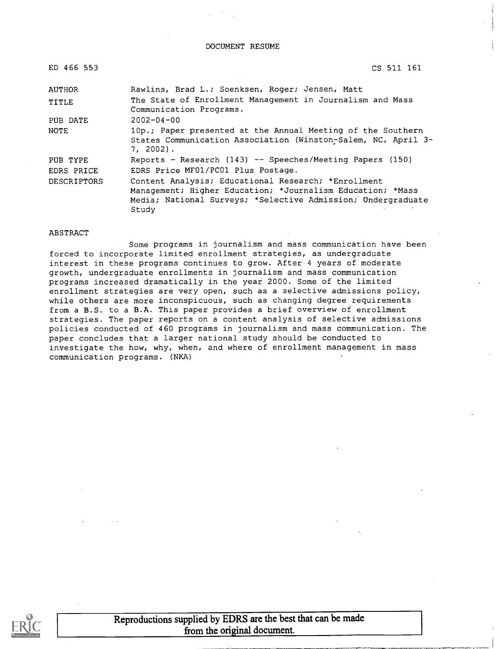DOCUMENT RESUME

| ED 466 553    | CS 511 161                                                                                                                                                                                 |
|---------------|--------------------------------------------------------------------------------------------------------------------------------------------------------------------------------------------|
| <b>AUTHOR</b> | Rawlins, Brad L.; Soenksen, Roger; Jensen, Matt                                                                                                                                            |
| TITLE         | The State of Enrollment Management in Journalism and Mass<br>Communication Programs.                                                                                                       |
| PUB DATE      | $2002 - 04 - 00$                                                                                                                                                                           |
| NOTE          | 10p.; Paper presented at the Annual Meeting of the Southern<br>States Communication Association (Winston-Salem, NC, April 3-<br>7, 2002).                                                  |
| PUB TYPE      | Reports - Research (143) -- Speeches/Meeting Papers (150)                                                                                                                                  |
| EDRS PRICE    | EDRS Price MF01/PC01 Plus Postage.                                                                                                                                                         |
| DESCRIPTORS   | Content Analysis; Educational Research; *Enrollment<br>Management; Higher Education; *Journalism Education; *Mass<br>Media; National Surveys; *Selective Admission; Undergraduate<br>Study |

#### ABSTRACT

Some programs in journalism and mass communication have been forced to incorporate limited enrollment strategies, as undergraduate interest in these programs continues to grow. After 4 years of moderate growth, undergraduate enrollments in journalism and mass communication programs increased dramatically in the year 2000. Some of the limited enrollment strategies are very open, such as a selective admissions policy, while others are more inconspicuous, such as changing degree requirements from a B.S. to a B.A. This paper provides a brief overview of enrollment strategies. The paper reports on a content analysis of selective admissions policies conducted of 460 programs in journalism and mass communication. The paper concludes that a larger national study should be conducted to investigate the how, why, when, and where of enrollment management in mass communication programs. (NKA)



Reproductions supplied by EDRS are the best that can be made from the original document.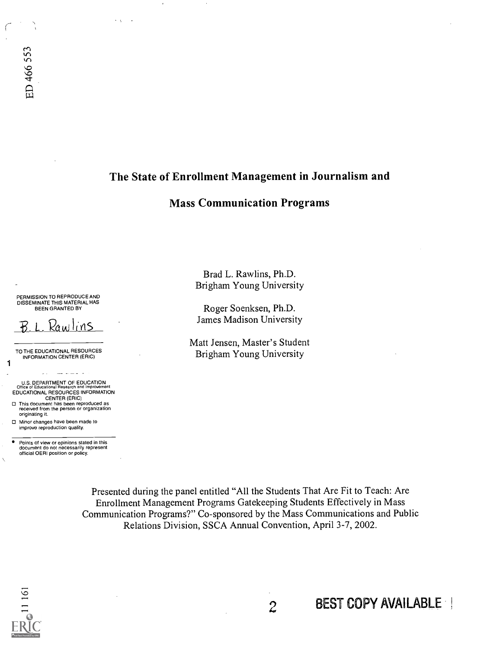$\ddot{\phantom{0}}$ 

## The State of Enrollment Management in Journalism and

## Mass Communication Programs

PERMISSION TO REPRODUCE AND DISSEMINATE THIS MATERIAL HAS BEEN GRANTED BY

 $B L$  Rawlins

TO THE EDUCATIONAL RESOURCES INFORMATION CENTER (ERIC)

1

U.S. DEPARTMENT OF EDUCATION<br>Office of Educational Research and Improvement<br>EDUCATIONAL RESOURCES INFORMATION CENTER (ERIC)

 $\frac{1}{2} \frac{1}{2} \frac{1}{2} \frac{1}{2} \frac{1}{2} \frac{1}{2} \frac{1}{2} \frac{1}{2} \frac{1}{2} \frac{1}{2} \frac{1}{2} \frac{1}{2} \frac{1}{2} \frac{1}{2} \frac{1}{2} \frac{1}{2} \frac{1}{2} \frac{1}{2} \frac{1}{2} \frac{1}{2} \frac{1}{2} \frac{1}{2} \frac{1}{2} \frac{1}{2} \frac{1}{2} \frac{1}{2} \frac{1}{2} \frac{1}{2} \frac{1}{2} \frac{1}{2} \frac{1}{2} \frac{$ 

This document has been reproduced as received from the person or organization originating it. Minor changes have been made to

Points of view or opinions stated in this document do not necessarily represent official OERI position or policy.

improve reproduction quality.

Brad L. Rawlins, Ph.D. Brigham Young University

Roger Soenksen, Ph.D. James Madison University

Matt Jensen, Master's Student Brigham Young University

Presented during the panel entitled "All the Students That Are Fit to Teach: Are Enrollment Management Programs Gatekeeping Students Effectively in Mass Communication Programs?" Co-sponsored by the Mass Communications and Public Relations Division, SSCA Annual Convention, April 3-7, 2002.



2 BEST COPY AVAILABLE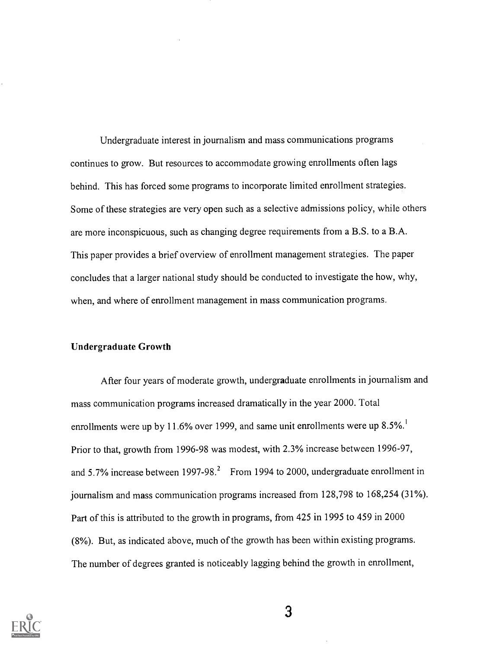Undergraduate interest in journalism and mass communications programs continues to grow. But resources to accommodate growing enrollments often lags behind. This has forced some programs to incorporate limited enrollment strategies. Some of these strategies are very open such as a selective admissions policy, while others are more inconspicuous, such as changing degree requirements from a B.S. to a B.A. This paper provides a brief overview of enrollment management strategies. The paper concludes that a larger national study should be conducted to investigate the how, why, when, and where of enrollment management in mass communication programs.

### Undergraduate Growth

After four years of moderate growth, undergraduate enrollments in journalism and mass communication programs increased dramatically in the year 2000. Total enrollments were up by 11.6% over 1999, and same unit enrollments were up  $8.5\%$ <sup>1</sup> Prior to that, growth from 1996-98 was modest, with 2.3% increase between 1996-97, and 5.7% increase between  $1997-98.<sup>2</sup>$  From 1994 to 2000, undergraduate enrollment in journalism and mass communication programs increased from 128,798 to 168,254 (31%). Part of this is attributed to the growth in programs, from 425 in 1995 to 459 in 2000 (8%). But, as indicated above, much of the growth has been within existing programs. The number of degrees granted is noticeably lagging behind the growth in enrollment,

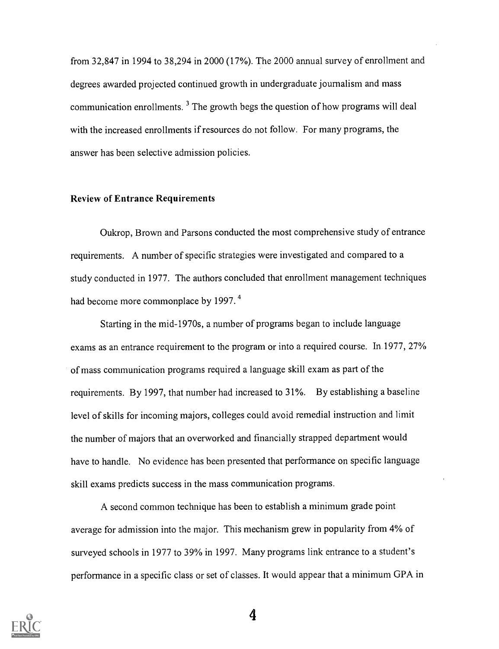from 32,847 in 1994 to 38,294 in 2000 (17%). The 2000 annual survey of enrollment and degrees awarded projected continued growth in undergraduate journalism and mass communication enrollments.<sup>3</sup> The growth begs the question of how programs will deal with the increased enrollments if resources do not follow. For many programs, the answer has been selective admission policies.

## Review of Entrance Requirements

Oukrop, Brown and Parsons conducted the most comprehensive study of entrance requirements. A number of specific strategies were investigated and compared to a study conducted in 1977. The authors concluded that enrollment management techniques had become more commonplace by 1997.<sup>4</sup>

Starting in the mid-1970s, a number of programs began to include language exams as an entrance requirement to the program or into a required course. In. 1977, 27% of mass communication programs required a language skill exam as part of the requirements. By 1997, that number had increased to 31%. By establishing a baseline level of skills for incoming majors, colleges could avoid remedial instruction and limit the number of majors that an overworked and financially strapped department would have to handle. No evidence has been presented that performance on specific language skill exams predicts success in the mass communication programs.

A second common technique has been to establish a minimum grade point average for admission into the major. This mechanism grew in popularity from 4% of surveyed schools in 1977 to 39% in 1997. Many programs link entrance to a student's performance in a specific class or set of classes. It would appear that a minimum GPA in

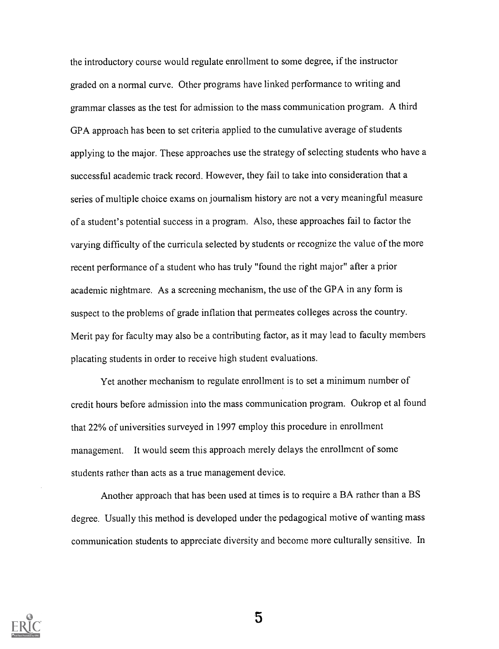the introductory course would regulate enrollment to some degree, if the instructor graded on a normal curve. Other programs have linked performance to writing and grammar classes as the test for admission to the mass communication program. A third GPA approach has been to set criteria applied to the cumulative average of students applying to the major. These approaches use the strategy of selecting students who have a successful academic track record. However, they fail to take into consideration that a series of multiple choice exams on journalism history are not a very meaningful measure of a student's potential success in a program. Also, these approaches fail to factor the varying difficulty of the curricula selected by students or recognize the value of the more recent performance of a student who has truly "found the right major" after a prior academic nightmare. As a screening mechanism, the use of the GPA in any form is suspect to the problems of grade inflation that permeates colleges across the country. Merit pay for faculty may also be a contributing factor, as it may lead to faculty members placating students in order to receive high student evaluations.

Yet another mechanism to regulate enrollment is to set a minimum number of credit hours before admission into the mass communication program. Oukrop et al found that 22% of universities surveyed in 1997 employ this procedure in enrollment management. It would seem this approach merely delays the enrollment of some students rather than acts as a true management device.

Another approach that has been used at times is to require a BA rather than a BS degree. Usually this method is developed under the pedagogical motive of wanting mass communication students to appreciate diversity and become more culturally sensitive. In

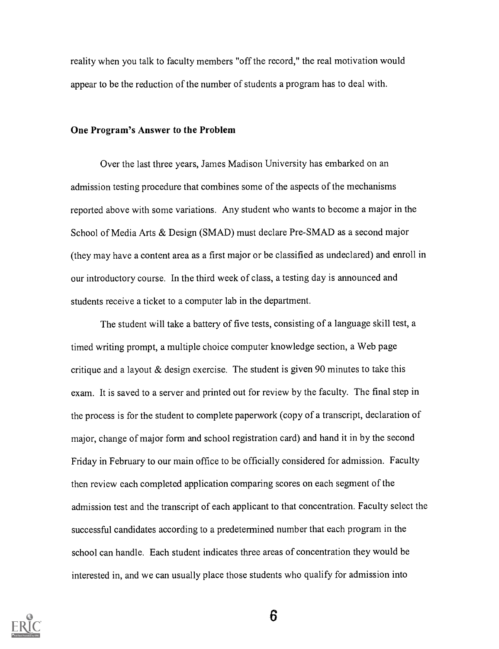reality when you talk to faculty members "off the record," the real motivation would appear to be the reduction of the number of students a program has to deal with.

#### One Program's Answer to the Problem

Over the last three years, James Madison University has embarked on an admission testing procedure that combines some of the aspects of the mechanisms reported above with some variations. Any student who wants to become a major in the School of Media Arts & Design (SMAD) must declare Pre-SMAD as a second major (they may have a content area as a first major or be classified as undeclared) and enroll in our introductory course. In the third week of class, a testing day is announced and students receive a ticket to a computer lab in the department.

The student will take a battery of five tests, consisting of a language skill test, a timed writing prompt, a multiple choice computer knowledge section, a Web page critique and a layout & design exercise. The student is given 90 minutes to take this exam. It is saved to a server and printed out for review by the faculty. The final step in the process is for the student to complete paperwork (copy of a transcript, declaration of major, change of major form and school registration card) and hand it in by the second Friday in February to our main office to be officially considered for admission. Faculty then review each completed application comparing scores on each segment of the admission test and the transcript of each applicant to that concentration. Faculty select the successful candidates according to a predetermined number that each program in the school can handle. Each student indicates three areas of concentration they would be interested in, and we can usually place those students who qualify for admission into

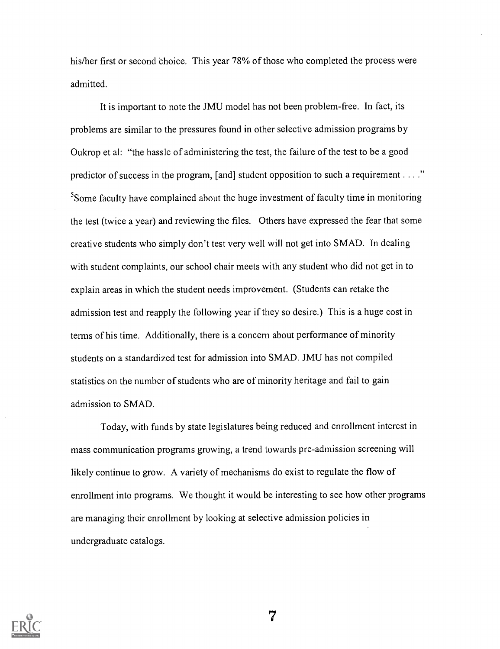his/her first or second choice. This year 78% of those who completed the process were admitted.

It is important to note the JMU model has not been problem-free. In fact, its problems are similar to the pressures found in other selective admission programs by Oukrop et al: "the hassle of administering the test, the failure of the test to be a good predictor of success in the program, [and] student opposition to such a requirement  $\dots$ ."  $<sup>5</sup>$ Some faculty have complained about the huge investment of faculty time in monitoring</sup> the test (twice a year) and reviewing the files. Others have expressed the fear that some creative students who simply don't test very well will not get into SMAD. In dealing with student complaints, our school chair meets with any student who did not get in to explain areas in which the student needs improvement. (Students can retake the admission test and reapply the following year if they so desire.) This is a huge cost in terms of his time. Additionally, there is a concern about performance of minority students on a standardized test for admission into SMAD. JMU has not compiled statistics on the number of students who are of minority heritage and fail to gain admission to SMAD.

Today, with funds by state legislatures being reduced and enrollment interest in mass communication programs growing, a trend towards pre-admission screening will likely continue to grow. A variety of mechanisms do exist to regulate the flow of enrollment into programs. We thought it would be interesting to see how other programs are managing their enrollment by looking at selective admission policies in undergraduate catalogs.



 $\overline{7}$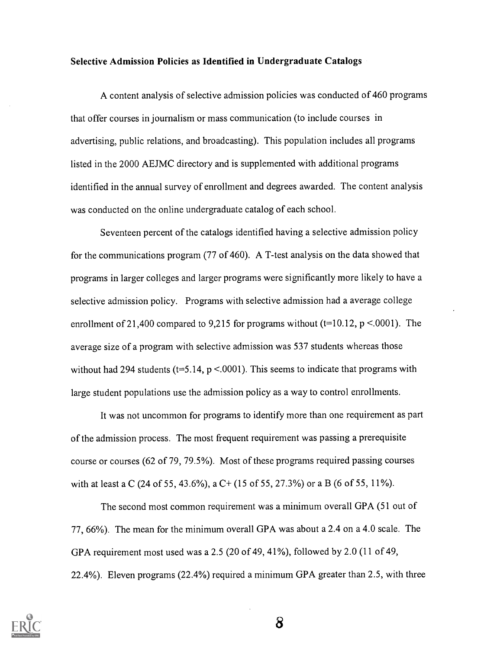## Selective Admission Policies as Identified in Undergraduate Catalogs

A content analysis of selective admission policies was conducted of 460 programs that offer courses in journalism or mass communication (to include courses in advertising, public relations, and broadcasting). This population includes all programs listed in the 2000 AEJMC directory and is supplemented with additional programs identified in the annual survey of enrollment and degrees awarded. The content analysis was conducted on the online undergraduate catalog of each school.

Seventeen percent of the catalogs identified having a selective admission policy for the communications program (77 of 460). A T-test analysis on the data showed that programs in larger colleges and larger programs were significantly more likely to have a selective admission policy. Programs with selective admission had a average college enrollment of 21,400 compared to 9,215 for programs without ( $t=10.12$ ,  $p < .0001$ ). The average size of a program with selective admission was 537 students whereas those without had 294 students (t=5.14,  $p$  <.0001). This seems to indicate that programs with large student populations use the admission policy as a way to control enrollments.

It was not uncommon for programs to identify more than one requirement as part of the admission process. The most frequent requirement was passing a prerequisite course or courses (62 of 79, 79.5%). Most of these programs required passing courses with at least a C (24 of 55, 43.6%), a C+ (15 of 55, 27.3%) or a B (6 of 55, 11%).

The second most common requirement was a minimum overall GPA (51 out of 77, 66%). The mean for the minimum overall GPA was about a 2.4 on a 4.0 scale. The GPA requirement most used was a 2.5 (20 of 49, 41%), followed by 2.0 (11 of 49, 22.4%). Eleven programs (22.4%) required a minimum GPA greater than 2.5, with three

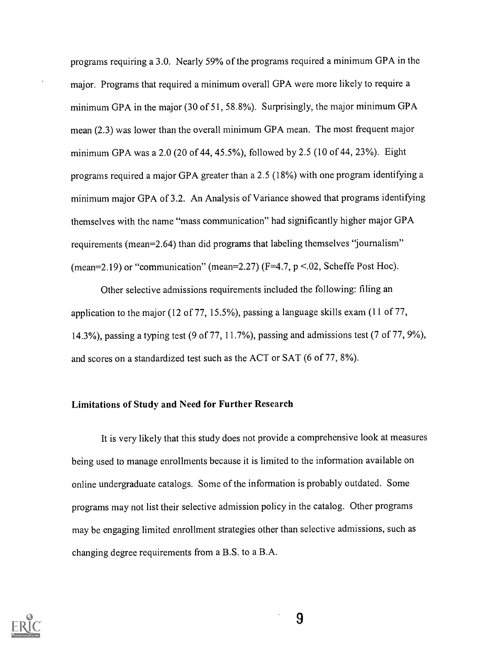programs requiring a 3.0. Nearly 59% of the programs required a minimum GPA in the major. Programs that required a minimum overall GPA were more likely to require a minimum GPA in the major (30 of 51, 58.8%). Surprisingly, the major minimum GPA mean (2.3) was lower than the overall minimum GPA mean. The most frequent major minimum GPA was a 2.0 (20 of 44, 45.5%), followed by 2.5 (10 of 44, 23%). Eight programs required a major GPA greater than a 2.5 (18%) with one programidentifying a minimum major GPA of 3.2. An Analysis of Variance showed that programs identifying themselves with the name "mass communication" had significantly higher major GPA requirements (mean=2.64) than did programs that labeling themselves "journalism" (mean=2.19) or "communication" (mean=2.27) ( $F=4.7$ ,  $p < 02$ , Scheffe Post Hoc).

Other selective admissions requirements included the following: filing an application to the major (12 of 77, 15.5%), passing a language skills exam (11 of 77, 14.3%), passing a typing test (9 of 77, 11.7%), passing and admissions test (7 of 77, 9%), and scores on a standardized test such as the ACT or SAT (6 of 77, 8%).

### Limitations of Study and Need for Further Research

It is very likely that this study does not provide a comprehensive look at measures being used to manage enrollments because it is limited to the information available on online undergraduate catalogs. Some of the information is probably outdated. Some programs may not list their selective admission policy in the catalog. Other programs may be engaging limited enrollment strategies other than selective admissions, such as changing degree requirements from a B.S. to a B.A.

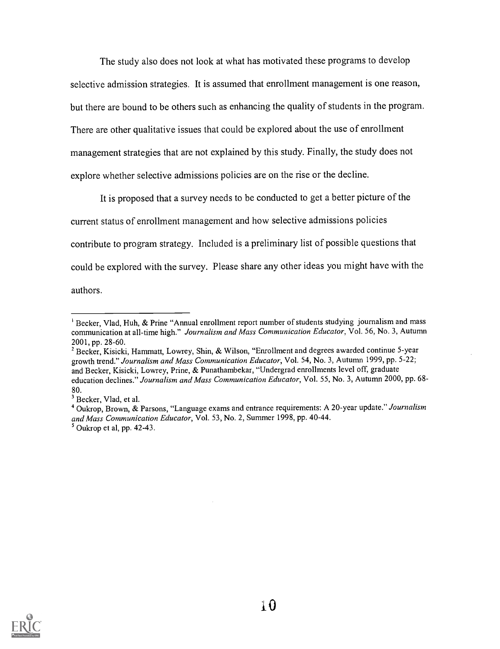The study also does not look at what has motivated these programs to develop selective admission strategies. It is assumed that enrollment management is one reason, but there are bound to be others such as enhancing the quality of students in the program. There are other qualitative issues that could be explored about the use of enrollment management strategies that are not explained by this study. Finally, the study does not explore whether selective admissions policies are on the rise or the decline.

It is proposed that a survey needs to be conducted to get a better picture of the current status of enrollment management and how selective admissions policies contribute to program strategy. Included is a preliminary list of possible questions that could be explored with the survey. Please share any other ideas you might have with the authors.



<sup>&</sup>lt;sup>1</sup> Becker, Vlad, Huh, & Prine "Annual enrollment report number of students studying journalism and mass communication at all-time high." Journalism and Mass Communication Educator, Vol. 56, No. 3, Autumn 2001, pp. 28-60.

<sup>&</sup>lt;sup>2</sup> Becker, Kisicki, Hammatt, Lowrey, Shin, & Wilson, "Enrollment and degrees awarded continue 5-year growth trend." Journalism and Mass Communication Educator, Vol. 54, No. 3, Autumn 1999, pp. 5-22; and Becker, Kisicki, Lowrey, Prine, & Punathambekar, "Undergrad enrollments level off, graduate education declines." Journalism and Mass Communication Educator, Vol. 55, No. 3, Autumn 2000, pp. 68- 80.

<sup>&</sup>lt;sup>3</sup> Becker, Vlad, et al.

<sup>&</sup>lt;sup>4</sup> Oukrop, Brown, & Parsons, "Language exams and entrance requirements: A 20-year update." Journalism and Mass Communication Educator, Vol. 53, No. 2, Summer 1998, pp. 40-44. 5 Oukrop et al, pp. 42-43.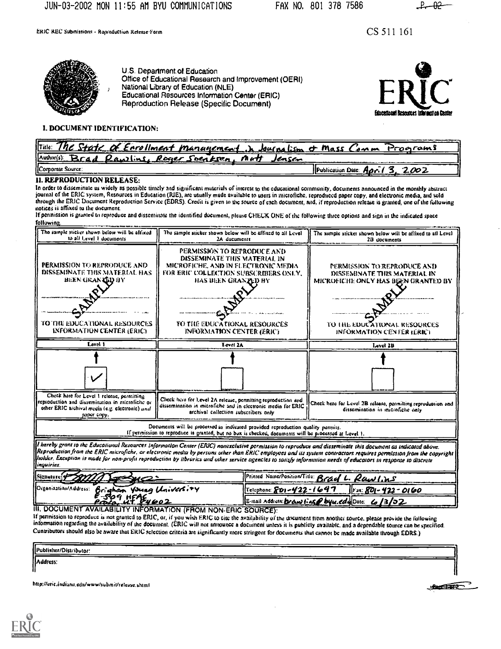ERIC REC Submistiom Rapioduction Release-Form

CS 511 161



U.S. Department of. Education Office of Educational Research and Improvement (OERI) National Library of Education (NLE) Educational Resources Information Center (ERIC) Reproduction Release (Specific Document)



#### 1. DOCUMENT IDENTIFICATION:

| $\sqrt{\text{Table}}$<br>State of Enrollment management in Journalism & Mass C | Proarams<br><b>AMM</b>                       |
|--------------------------------------------------------------------------------|----------------------------------------------|
| Author(s):<br>Roger Soentsen<br>Rawline<br>n utt<br>Jensen                     |                                              |
| Corporate Source:                                                              | 2002<br><b>Publication Date:</b> $A\rho r$ . |

#### ii. REPRODUCTION RELEASE:

In order to disseminate as widely as possible timely and significant materials of interest to the educational community, documents announced in the monthly abstract journal of the ERIC system, Resources in Education (RIE), are usually made avuitable to users in microfiche. reproduced paper copy, and electronic media, and sold through the ERIC Document Reproduction Service (EDRS). Credit is given to the source of each document, and, if reproduction release is granted, one of the following

If permission is granted to reproduce and disseminate the identified document, please CHECK ONE of the following three options and sign in the indicated space following.

| The sample sticker shown below will be affixed<br>to all Level 1 documents                                                                                                                                                                                                                                                                                                                                                                                                                                                  | The sample sticker shown below will be affixed to all Level<br>2A ducuments                                                                                                              |  | The sample sticker shown below will be affixed to all Level<br>2B documents |                                                                                                    |  |  |
|-----------------------------------------------------------------------------------------------------------------------------------------------------------------------------------------------------------------------------------------------------------------------------------------------------------------------------------------------------------------------------------------------------------------------------------------------------------------------------------------------------------------------------|------------------------------------------------------------------------------------------------------------------------------------------------------------------------------------------|--|-----------------------------------------------------------------------------|----------------------------------------------------------------------------------------------------|--|--|
| PERMISSION TO REPRODUCE AND<br>DISSEMINATE THIS MATERIAL HAS<br>BEEN GRAN LED BY                                                                                                                                                                                                                                                                                                                                                                                                                                            | PERMISSIÓN TO REPRODUCE AND<br>DISSEMINATE THIS MATERIAL IN<br>MICROFICHE, AND IN FLECTRONIC MEDIA<br>FOR ERIC COLLECTION SUBSCRIBERS ONLY.<br>HAS BEEN GRAN <b>TED</b> BY               |  |                                                                             | PERMISSION TO REPRODUCE AND<br>DISSEMINATE THIS MATERIAL IN<br>MICROFICHE ONLY HAS BEEN GRANTED BY |  |  |
|                                                                                                                                                                                                                                                                                                                                                                                                                                                                                                                             |                                                                                                                                                                                          |  |                                                                             |                                                                                                    |  |  |
| TO THE EDUCATIONAL RESOURCES<br><b>INFORMATION CENTER (ERIC)</b>                                                                                                                                                                                                                                                                                                                                                                                                                                                            | TO THE EDUCATIONAL RESOURCES<br><b>INFORMATION CENTER (ERIC)</b>                                                                                                                         |  | TO THE EDUCATIONAL RESOURCES<br>INFORMATION CENTER (ERIC)                   |                                                                                                    |  |  |
| Lovel 1                                                                                                                                                                                                                                                                                                                                                                                                                                                                                                                     | Level 2A                                                                                                                                                                                 |  | Level 2B                                                                    |                                                                                                    |  |  |
|                                                                                                                                                                                                                                                                                                                                                                                                                                                                                                                             |                                                                                                                                                                                          |  |                                                                             |                                                                                                    |  |  |
| Check hare for Level 1 release, permitting<br>Check has for Level 2A release, permitting reproduction and<br>reproduction and dissemination in microfiche or<br>dissemination in microfiche and in electronic media for ERIC<br>other ERIC archival media (e.g. electronic) and<br>archival collection subscribers only<br>paper copy.                                                                                                                                                                                      |                                                                                                                                                                                          |  |                                                                             | Check here for Level 2B roloase, permitting reproduction and<br>dissemination in microfiche only   |  |  |
|                                                                                                                                                                                                                                                                                                                                                                                                                                                                                                                             | Documents will be processed as indicated provided reproduction quality parmits.<br>If permission to reproduce is granted, but no box is checked, documents will be processed at Level 1. |  |                                                                             |                                                                                                    |  |  |
| It hereby grant to the Educational Resources Information Center (ERIC) nonexclusive permission to reproduce and disseminate this document as indicated above.<br>Reproduction from the ERIC microfiche, or electronic media by persons other than ERIC employees and its system contractors requires permission from the copyright<br>holder. Exception is made for non-profit reproduction by libraries and other service agencies to satisfy information needs of educators in response to discrete<br><i>inquiries</i> . |                                                                                                                                                                                          |  |                                                                             |                                                                                                    |  |  |
| Signature                                                                                                                                                                                                                                                                                                                                                                                                                                                                                                                   | Printed Nature/Position/Title: Brad L. Rawlins                                                                                                                                           |  |                                                                             |                                                                                                    |  |  |
| Organization/Address.<br>Brigham Young University<br>$5509$ HFAE4602                                                                                                                                                                                                                                                                                                                                                                                                                                                        | Telephone: 801-422-1697                                                                                                                                                                  |  | <u> 1. 801 - 422 - 0160</u>                                                 |                                                                                                    |  |  |
|                                                                                                                                                                                                                                                                                                                                                                                                                                                                                                                             |                                                                                                                                                                                          |  |                                                                             |                                                                                                    |  |  |

If permission to reproduce is not granted to ERIC, or, if you wish ERIC to cite the availability of the document from another source, please provide the following information regarding the availability of the document. (ERIC will not announce a document unless it is publicly available. and a dependable source can be specified. Cuntributors should also be aware that ERIC selection criteria are significantly more stringent for documents that cannot be made available through EDRS.)

| ______<br>Publisher/Distributor:<br>. |  | --- |     | ---<br><b>The Company's Company's Company's</b> |  |
|---------------------------------------|--|-----|-----|-------------------------------------------------|--|
| Address:                              |  |     | $-$ | مستحدث فاستعاده                                 |  |

http://eric.indiana.edu/www/submit/release.shtml



1 $A = \sqrt{1 + \frac{1}{2}}$